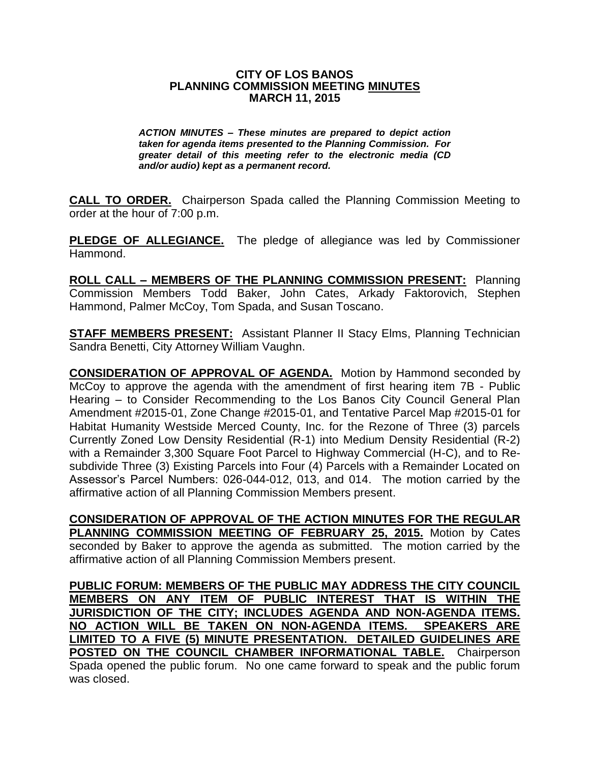## **CITY OF LOS BANOS PLANNING COMMISSION MEETING MINUTES MARCH 11, 2015**

*ACTION MINUTES – These minutes are prepared to depict action taken for agenda items presented to the Planning Commission. For greater detail of this meeting refer to the electronic media (CD and/or audio) kept as a permanent record.*

**CALL TO ORDER.** Chairperson Spada called the Planning Commission Meeting to order at the hour of 7:00 p.m.

**PLEDGE OF ALLEGIANCE.** The pledge of allegiance was led by Commissioner Hammond.

**ROLL CALL – MEMBERS OF THE PLANNING COMMISSION PRESENT:** Planning Commission Members Todd Baker, John Cates, Arkady Faktorovich, Stephen Hammond, Palmer McCoy, Tom Spada, and Susan Toscano.

**STAFF MEMBERS PRESENT:** Assistant Planner II Stacy Elms, Planning Technician Sandra Benetti, City Attorney William Vaughn.

**CONSIDERATION OF APPROVAL OF AGENDA.** Motion by Hammond seconded by McCoy to approve the agenda with the amendment of first hearing item 7B - Public Hearing – to Consider Recommending to the Los Banos City Council General Plan Amendment #2015-01, Zone Change #2015-01, and Tentative Parcel Map #2015-01 for Habitat Humanity Westside Merced County, Inc. for the Rezone of Three (3) parcels Currently Zoned Low Density Residential (R-1) into Medium Density Residential (R-2) with a Remainder 3,300 Square Foot Parcel to Highway Commercial (H-C), and to Resubdivide Three (3) Existing Parcels into Four (4) Parcels with a Remainder Located on Assessor's Parcel Numbers: 026-044-012, 013, and 014. The motion carried by the affirmative action of all Planning Commission Members present.

**CONSIDERATION OF APPROVAL OF THE ACTION MINUTES FOR THE REGULAR PLANNING COMMISSION MEETING OF FEBRUARY 25, 2015.** Motion by Cates seconded by Baker to approve the agenda as submitted. The motion carried by the affirmative action of all Planning Commission Members present.

**PUBLIC FORUM: MEMBERS OF THE PUBLIC MAY ADDRESS THE CITY COUNCIL MEMBERS ON ANY ITEM OF PUBLIC INTEREST THAT IS WITHIN THE JURISDICTION OF THE CITY; INCLUDES AGENDA AND NON-AGENDA ITEMS. NO ACTION WILL BE TAKEN ON NON-AGENDA ITEMS. SPEAKERS ARE LIMITED TO A FIVE (5) MINUTE PRESENTATION. DETAILED GUIDELINES ARE POSTED ON THE COUNCIL CHAMBER INFORMATIONAL TABLE.** Chairperson Spada opened the public forum. No one came forward to speak and the public forum was closed.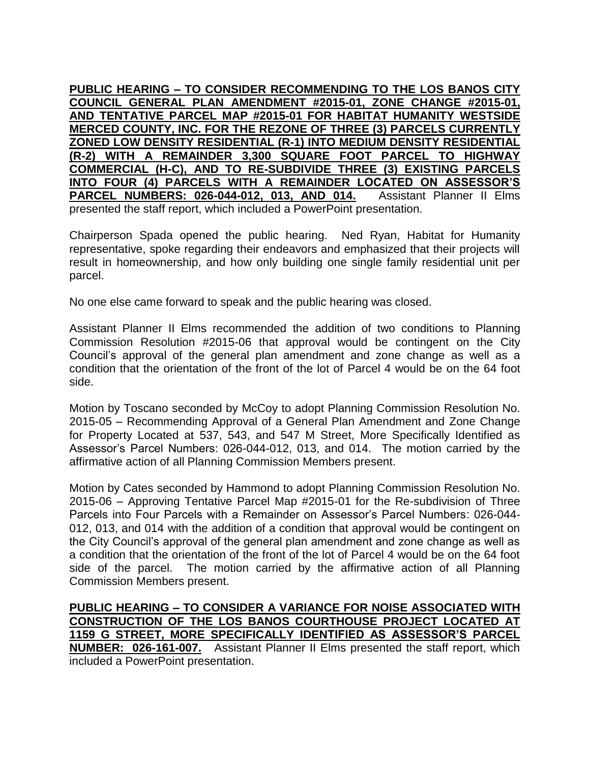**PUBLIC HEARING – TO CONSIDER RECOMMENDING TO THE LOS BANOS CITY COUNCIL GENERAL PLAN AMENDMENT #2015-01, ZONE CHANGE #2015-01, AND TENTATIVE PARCEL MAP #2015-01 FOR HABITAT HUMANITY WESTSIDE MERCED COUNTY, INC. FOR THE REZONE OF THREE (3) PARCELS CURRENTLY ZONED LOW DENSITY RESIDENTIAL (R-1) INTO MEDIUM DENSITY RESIDENTIAL (R-2) WITH A REMAINDER 3,300 SQUARE FOOT PARCEL TO HIGHWAY COMMERCIAL (H-C), AND TO RE-SUBDIVIDE THREE (3) EXISTING PARCELS INTO FOUR (4) PARCELS WITH A REMAINDER LOCATED ON ASSESSOR'S PARCEL NUMBERS: 026-044-012, 013, AND 014.** Assistant Planner II Elms presented the staff report, which included a PowerPoint presentation.

Chairperson Spada opened the public hearing. Ned Ryan, Habitat for Humanity representative, spoke regarding their endeavors and emphasized that their projects will result in homeownership, and how only building one single family residential unit per parcel.

No one else came forward to speak and the public hearing was closed.

Assistant Planner II Elms recommended the addition of two conditions to Planning Commission Resolution #2015-06 that approval would be contingent on the City Council's approval of the general plan amendment and zone change as well as a condition that the orientation of the front of the lot of Parcel 4 would be on the 64 foot side.

Motion by Toscano seconded by McCoy to adopt Planning Commission Resolution No. 2015-05 – Recommending Approval of a General Plan Amendment and Zone Change for Property Located at 537, 543, and 547 M Street, More Specifically Identified as Assessor's Parcel Numbers: 026-044-012, 013, and 014. The motion carried by the affirmative action of all Planning Commission Members present.

Motion by Cates seconded by Hammond to adopt Planning Commission Resolution No. 2015-06 – Approving Tentative Parcel Map #2015-01 for the Re-subdivision of Three Parcels into Four Parcels with a Remainder on Assessor's Parcel Numbers: 026-044- 012, 013, and 014 with the addition of a condition that approval would be contingent on the City Council's approval of the general plan amendment and zone change as well as a condition that the orientation of the front of the lot of Parcel 4 would be on the 64 foot side of the parcel. The motion carried by the affirmative action of all Planning Commission Members present.

**PUBLIC HEARING – TO CONSIDER A VARIANCE FOR NOISE ASSOCIATED WITH CONSTRUCTION OF THE LOS BANOS COURTHOUSE PROJECT LOCATED AT 1159 G STREET, MORE SPECIFICALLY IDENTIFIED AS ASSESSOR'S PARCEL NUMBER: 026-161-007.** Assistant Planner II Elms presented the staff report, which included a PowerPoint presentation.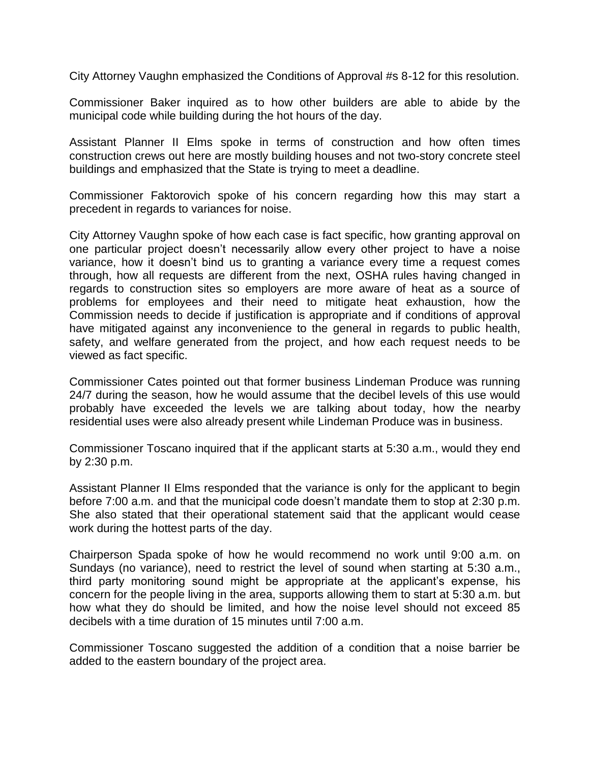City Attorney Vaughn emphasized the Conditions of Approval #s 8-12 for this resolution.

Commissioner Baker inquired as to how other builders are able to abide by the municipal code while building during the hot hours of the day.

Assistant Planner II Elms spoke in terms of construction and how often times construction crews out here are mostly building houses and not two-story concrete steel buildings and emphasized that the State is trying to meet a deadline.

Commissioner Faktorovich spoke of his concern regarding how this may start a precedent in regards to variances for noise.

City Attorney Vaughn spoke of how each case is fact specific, how granting approval on one particular project doesn't necessarily allow every other project to have a noise variance, how it doesn't bind us to granting a variance every time a request comes through, how all requests are different from the next, OSHA rules having changed in regards to construction sites so employers are more aware of heat as a source of problems for employees and their need to mitigate heat exhaustion, how the Commission needs to decide if justification is appropriate and if conditions of approval have mitigated against any inconvenience to the general in regards to public health, safety, and welfare generated from the project, and how each request needs to be viewed as fact specific.

Commissioner Cates pointed out that former business Lindeman Produce was running 24/7 during the season, how he would assume that the decibel levels of this use would probably have exceeded the levels we are talking about today, how the nearby residential uses were also already present while Lindeman Produce was in business.

Commissioner Toscano inquired that if the applicant starts at 5:30 a.m., would they end by 2:30 p.m.

Assistant Planner II Elms responded that the variance is only for the applicant to begin before 7:00 a.m. and that the municipal code doesn't mandate them to stop at 2:30 p.m. She also stated that their operational statement said that the applicant would cease work during the hottest parts of the day.

Chairperson Spada spoke of how he would recommend no work until 9:00 a.m. on Sundays (no variance), need to restrict the level of sound when starting at 5:30 a.m., third party monitoring sound might be appropriate at the applicant's expense, his concern for the people living in the area, supports allowing them to start at 5:30 a.m. but how what they do should be limited, and how the noise level should not exceed 85 decibels with a time duration of 15 minutes until 7:00 a.m.

Commissioner Toscano suggested the addition of a condition that a noise barrier be added to the eastern boundary of the project area.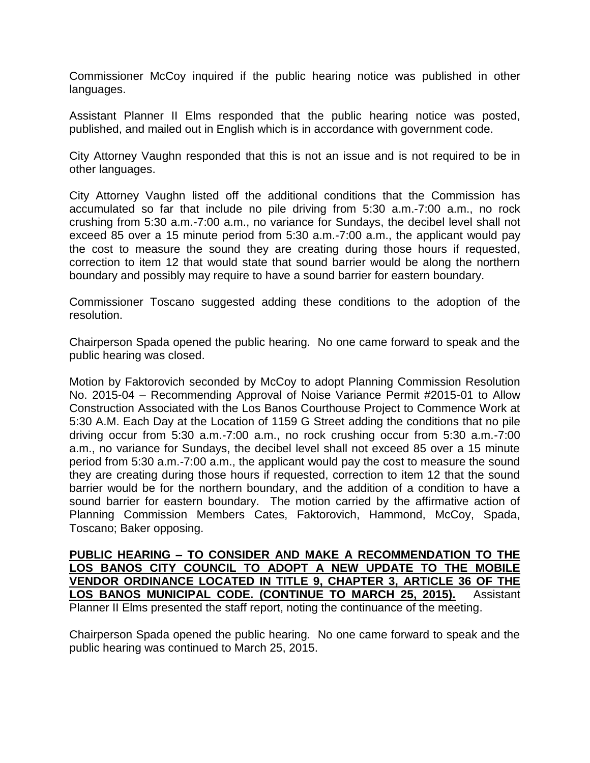Commissioner McCoy inquired if the public hearing notice was published in other languages.

Assistant Planner II Elms responded that the public hearing notice was posted, published, and mailed out in English which is in accordance with government code.

City Attorney Vaughn responded that this is not an issue and is not required to be in other languages.

City Attorney Vaughn listed off the additional conditions that the Commission has accumulated so far that include no pile driving from 5:30 a.m.-7:00 a.m., no rock crushing from 5:30 a.m.-7:00 a.m., no variance for Sundays, the decibel level shall not exceed 85 over a 15 minute period from 5:30 a.m.-7:00 a.m., the applicant would pay the cost to measure the sound they are creating during those hours if requested, correction to item 12 that would state that sound barrier would be along the northern boundary and possibly may require to have a sound barrier for eastern boundary.

Commissioner Toscano suggested adding these conditions to the adoption of the resolution.

Chairperson Spada opened the public hearing. No one came forward to speak and the public hearing was closed.

Motion by Faktorovich seconded by McCoy to adopt Planning Commission Resolution No. 2015-04 – Recommending Approval of Noise Variance Permit #2015-01 to Allow Construction Associated with the Los Banos Courthouse Project to Commence Work at 5:30 A.M. Each Day at the Location of 1159 G Street adding the conditions that no pile driving occur from 5:30 a.m.-7:00 a.m., no rock crushing occur from 5:30 a.m.-7:00 a.m., no variance for Sundays, the decibel level shall not exceed 85 over a 15 minute period from 5:30 a.m.-7:00 a.m., the applicant would pay the cost to measure the sound they are creating during those hours if requested, correction to item 12 that the sound barrier would be for the northern boundary, and the addition of a condition to have a sound barrier for eastern boundary. The motion carried by the affirmative action of Planning Commission Members Cates, Faktorovich, Hammond, McCoy, Spada, Toscano; Baker opposing.

**PUBLIC HEARING – TO CONSIDER AND MAKE A RECOMMENDATION TO THE LOS BANOS CITY COUNCIL TO ADOPT A NEW UPDATE TO THE MOBILE VENDOR ORDINANCE LOCATED IN TITLE 9, CHAPTER 3, ARTICLE 36 OF THE LOS BANOS MUNICIPAL CODE. (CONTINUE TO MARCH 25, 2015).** Assistant Planner II Elms presented the staff report, noting the continuance of the meeting.

Chairperson Spada opened the public hearing. No one came forward to speak and the public hearing was continued to March 25, 2015.